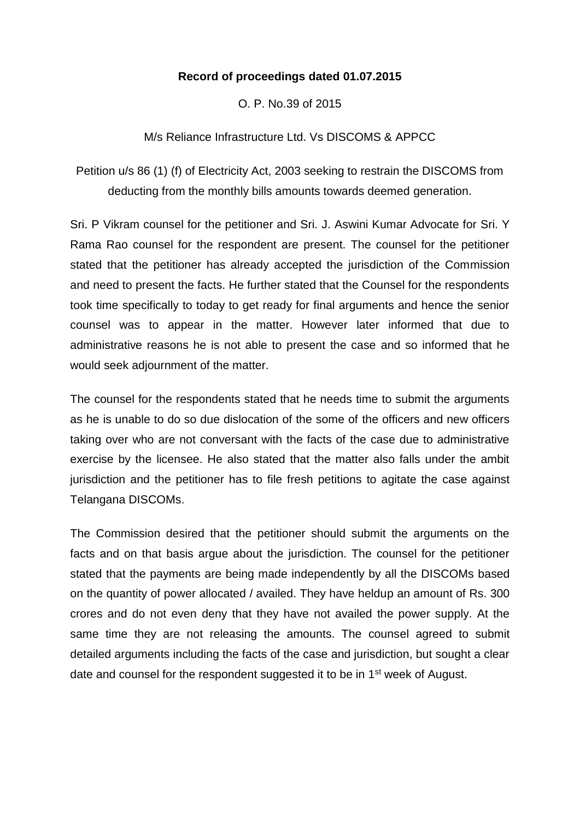# **Record of proceedings dated 01.07.2015**

O. P. No.39 of 2015

# M/s Reliance Infrastructure Ltd. Vs DISCOMS & APPCC

Petition u/s 86 (1) (f) of Electricity Act, 2003 seeking to restrain the DISCOMS from deducting from the monthly bills amounts towards deemed generation.

Sri. P Vikram counsel for the petitioner and Sri. J. Aswini Kumar Advocate for Sri. Y Rama Rao counsel for the respondent are present. The counsel for the petitioner stated that the petitioner has already accepted the jurisdiction of the Commission and need to present the facts. He further stated that the Counsel for the respondents took time specifically to today to get ready for final arguments and hence the senior counsel was to appear in the matter. However later informed that due to administrative reasons he is not able to present the case and so informed that he would seek adjournment of the matter.

The counsel for the respondents stated that he needs time to submit the arguments as he is unable to do so due dislocation of the some of the officers and new officers taking over who are not conversant with the facts of the case due to administrative exercise by the licensee. He also stated that the matter also falls under the ambit jurisdiction and the petitioner has to file fresh petitions to agitate the case against Telangana DISCOMs.

The Commission desired that the petitioner should submit the arguments on the facts and on that basis argue about the jurisdiction. The counsel for the petitioner stated that the payments are being made independently by all the DISCOMs based on the quantity of power allocated / availed. They have heldup an amount of Rs. 300 crores and do not even deny that they have not availed the power supply. At the same time they are not releasing the amounts. The counsel agreed to submit detailed arguments including the facts of the case and jurisdiction, but sought a clear date and counsel for the respondent suggested it to be in 1<sup>st</sup> week of August.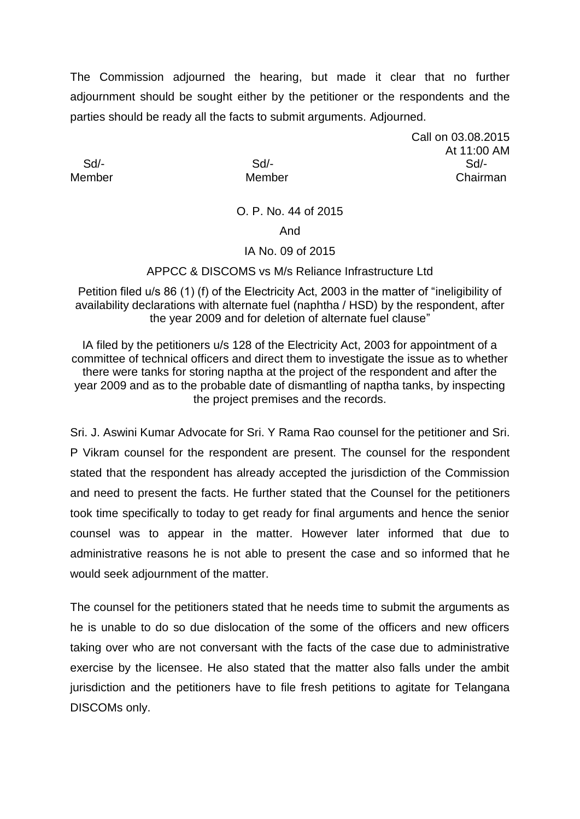The Commission adjourned the hearing, but made it clear that no further adjournment should be sought either by the petitioner or the respondents and the parties should be ready all the facts to submit arguments. Adjourned.

Call on 03.08.2015 At 11:00 AM Sd/- Sd/- Sd/- Member Member Chairman

### O. P. No. 44 of 2015

### And

### IA No. 09 of 2015

APPCC & DISCOMS vs M/s Reliance Infrastructure Ltd

Petition filed u/s 86 (1) (f) of the Electricity Act, 2003 in the matter of "ineligibility of availability declarations with alternate fuel (naphtha / HSD) by the respondent, after the year 2009 and for deletion of alternate fuel clause"

IA filed by the petitioners u/s 128 of the Electricity Act, 2003 for appointment of a committee of technical officers and direct them to investigate the issue as to whether there were tanks for storing naptha at the project of the respondent and after the year 2009 and as to the probable date of dismantling of naptha tanks, by inspecting the project premises and the records.

Sri. J. Aswini Kumar Advocate for Sri. Y Rama Rao counsel for the petitioner and Sri. P Vikram counsel for the respondent are present. The counsel for the respondent stated that the respondent has already accepted the jurisdiction of the Commission and need to present the facts. He further stated that the Counsel for the petitioners took time specifically to today to get ready for final arguments and hence the senior counsel was to appear in the matter. However later informed that due to administrative reasons he is not able to present the case and so informed that he would seek adjournment of the matter.

The counsel for the petitioners stated that he needs time to submit the arguments as he is unable to do so due dislocation of the some of the officers and new officers taking over who are not conversant with the facts of the case due to administrative exercise by the licensee. He also stated that the matter also falls under the ambit jurisdiction and the petitioners have to file fresh petitions to agitate for Telangana DISCOMs only.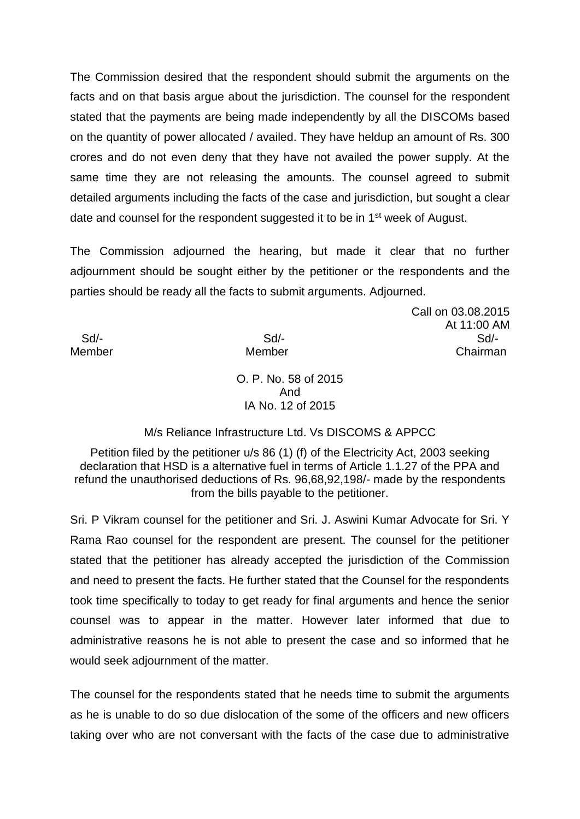The Commission desired that the respondent should submit the arguments on the facts and on that basis argue about the jurisdiction. The counsel for the respondent stated that the payments are being made independently by all the DISCOMs based on the quantity of power allocated / availed. They have heldup an amount of Rs. 300 crores and do not even deny that they have not availed the power supply. At the same time they are not releasing the amounts. The counsel agreed to submit detailed arguments including the facts of the case and jurisdiction, but sought a clear date and counsel for the respondent suggested it to be in 1<sup>st</sup> week of August.

The Commission adjourned the hearing, but made it clear that no further adjournment should be sought either by the petitioner or the respondents and the parties should be ready all the facts to submit arguments. Adjourned.

Call on 03.08.2015 At 11:00 AM Sd/- Sd/- Sd/- Member Member Chairman

O. P. No. 58 of 2015 And IA No. 12 of 2015

M/s Reliance Infrastructure Ltd. Vs DISCOMS & APPCC

Petition filed by the petitioner u/s 86 (1) (f) of the Electricity Act, 2003 seeking declaration that HSD is a alternative fuel in terms of Article 1.1.27 of the PPA and refund the unauthorised deductions of Rs. 96,68,92,198/- made by the respondents from the bills payable to the petitioner.

Sri. P Vikram counsel for the petitioner and Sri. J. Aswini Kumar Advocate for Sri. Y Rama Rao counsel for the respondent are present. The counsel for the petitioner stated that the petitioner has already accepted the jurisdiction of the Commission and need to present the facts. He further stated that the Counsel for the respondents took time specifically to today to get ready for final arguments and hence the senior counsel was to appear in the matter. However later informed that due to administrative reasons he is not able to present the case and so informed that he would seek adjournment of the matter.

The counsel for the respondents stated that he needs time to submit the arguments as he is unable to do so due dislocation of the some of the officers and new officers taking over who are not conversant with the facts of the case due to administrative